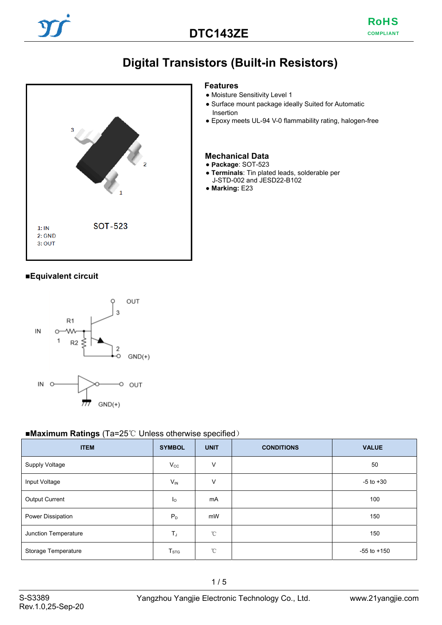# **Digital Transistors (Built-in Resistors)**<br>
Features



- Moisture Sensitivity Level 1
- Surface mount package ideally Suited for Automatic Insertion
- Epoxy meets UL-94 V-0 flammability rating, halogen-free

#### **Mechanical Data**

- **Package**: SOT-523
- **Terminals**: Tin plated leads, solderable per J-STD-002 and JESD22-B102
- **Marking:** E23

#### ■**Equivalent circuit**



#### ■**Maximum Ratings** (Ta=25℃ Unless otherwise specified)

| <b>ITEM</b>          | <b>SYMBOL</b>             | <b>UNIT</b>  | <b>CONDITIONS</b> | <b>VALUE</b>    |
|----------------------|---------------------------|--------------|-------------------|-----------------|
| Supply Voltage       | $V_{\rm CC}$              | V            |                   | 50              |
| Input Voltage        | $V_{IN}$                  | V            |                   | $-5$ to $+30$   |
| Output Current       | $\mathsf{I}_{\mathsf{O}}$ | mA           |                   | 100             |
| Power Dissipation    | $P_D$                     | mW           |                   | 150             |
| Junction Temperature | $T_J$                     | $^{\circ}$ C |                   | 150             |
| Storage Temperature  | $T_{STG}$                 | $^{\circ}$ C |                   | $-55$ to $+150$ |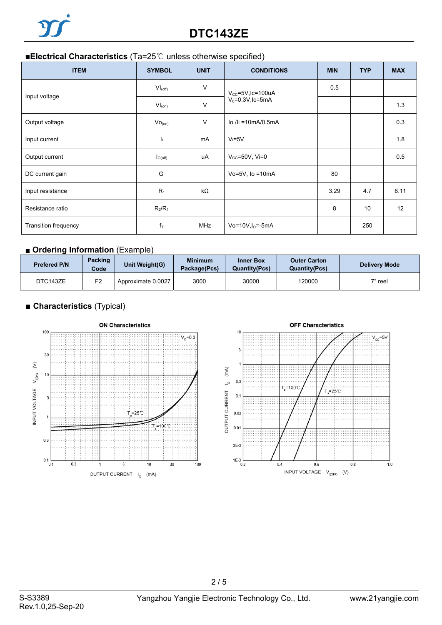# **DTC143ZE**

#### ■**Electrical Characteristics** (Ta=25℃ unless otherwise specified)

| <b>ITEM</b>          | <b>SYMBOL</b>           | <b>UNIT</b> | <b>CONDITIONS</b>              | <b>MIN</b> | <b>TYP</b> | <b>MAX</b>        |
|----------------------|-------------------------|-------------|--------------------------------|------------|------------|-------------------|
|                      | $VI_{(off)}$            | $\vee$      | $V_{CC} = 5V$ , Ic=100uA       | 0.5        |            |                   |
| Input voltage        | $VI_{(on)}$             | $\vee$      | $V_0 = 0.3V$ , Ic=5mA          |            | 1.3        |                   |
| Output voltage       | Vo <sub>(on)</sub>      | $\vee$      | $\overline{a}$ /li =10mA/0.5mA |            |            | 0.3               |
| Input current        | h                       | mA          | $V = 5V$                       |            |            | 1.8               |
| Output current       | $I_{O(\text{off})}$     | uA          | $V_{CC} = 50V$ , Vi=0          |            |            | 0.5               |
| DC current gain      | G <sub>1</sub>          |             | Vo=5V, $lo = 10mA$             | 80         |            |                   |
| Input resistance     | $R_1$                   | kΩ          |                                | 3.29       | 4.7        | 6.11              |
| Resistance ratio     | $R_2/R_1$               |             |                                | 8          | 10         | $12 \overline{ }$ |
| Transition frequency | $\mathsf{f}_\mathsf{T}$ | <b>MHz</b>  | $Vo=10V, I0=-5mA$              |            | 250        |                   |

#### ■ **Ordering Information** (Example)

| <b>Prefered P/N</b> | <b>Packing</b><br>Code | Unit Weight(G)     | <b>Minimum</b><br>Package(Pcs) | <b>Inner Box</b><br><b>Quantity(Pcs)</b> | <b>Outer Carton</b><br><b>Quantity(Pcs)</b> | <b>Delivery Mode</b> |
|---------------------|------------------------|--------------------|--------------------------------|------------------------------------------|---------------------------------------------|----------------------|
| DTC143ZE            | F2                     | Approximate 0.0027 | 3000                           | 30000                                    | 120000                                      | 7" reel              |

### **■ Characteristics** (Typical)





2 / 5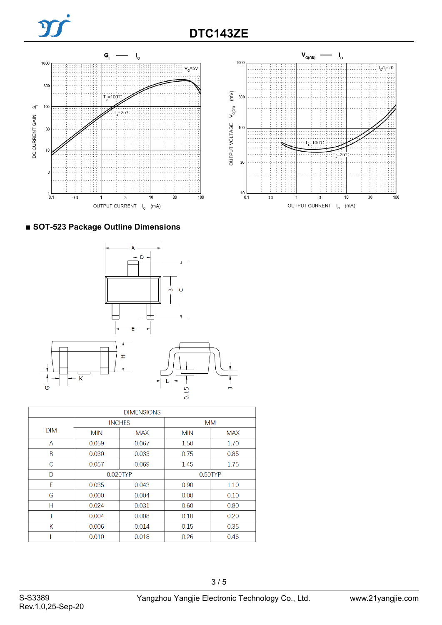



## ■ **SOT-523 Package Outline Dimensions**



| <b>DIMENSIONS</b> |            |               |            |            |  |
|-------------------|------------|---------------|------------|------------|--|
|                   |            | <b>INCHES</b> | <b>MM</b>  |            |  |
| <b>DIM</b>        | <b>MIN</b> | <b>MAX</b>    | <b>MIN</b> | <b>MAX</b> |  |
| A                 | 0.059      | 0.067         | 1.50       | 1.70       |  |
| B                 | 0.030      | 0.033         | 0.75       | 0.85       |  |
| C                 | 0.057      | 0.069         | 1.45       | 1.75       |  |
| D                 | 0.020TYP   |               | $0.50$ TYP |            |  |
| F                 | 0.035      | 0.043         | 0.90       | 1.10       |  |
| G                 | 0.000      | 0.004         | 0.00       | 0.10       |  |
| н                 | 0.024      | 0.031         | 0.60       | 0.80       |  |
| J                 | 0.004      | 0.008         | 0.10       | 0.20       |  |
| К                 | 0.006      | 0.014         | 0.15       | 0.35       |  |
|                   | 0.010      | 0.018         | 0.26       | 0.46       |  |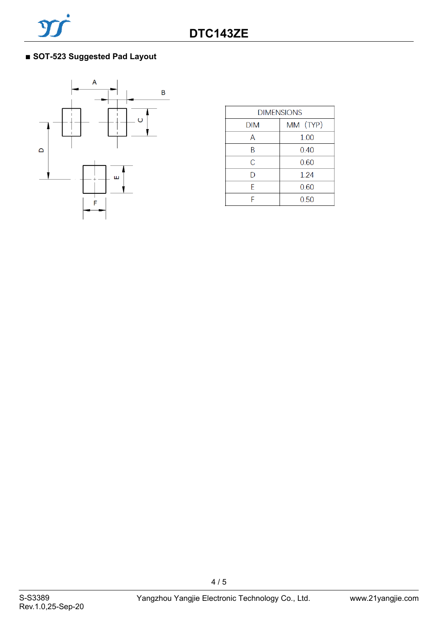



| <b>DIMENSIONS</b> |          |  |  |
|-------------------|----------|--|--|
| <b>DIM</b>        | MM (TYP) |  |  |
| А                 | 1.00     |  |  |
| B                 | 0.40     |  |  |
| С                 | 0.60     |  |  |
| D                 | 1.24     |  |  |
| F                 | 0.60     |  |  |
| F                 | 0.50     |  |  |